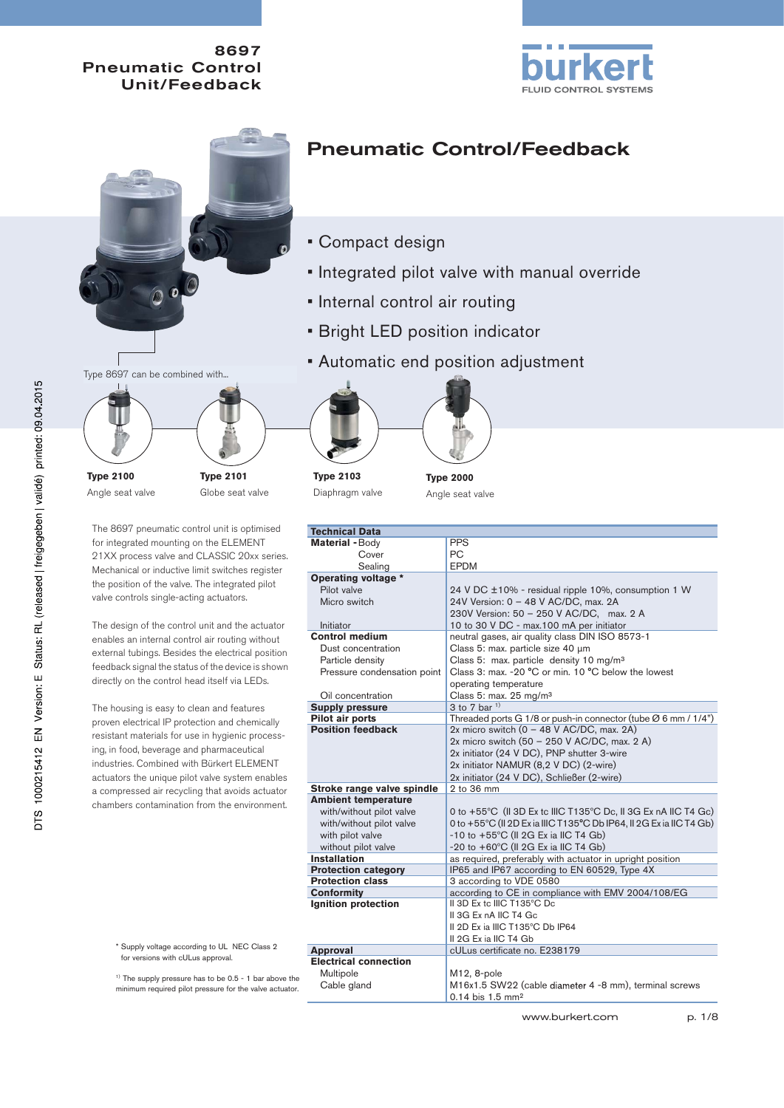



## Pneumatic Control/Feedback

- Compact design
- Integrated pilot valve with manual override
- Internal control air routing
- Bright LED position indicator
- Automatic end position adjustment



**Type 2100** Angle seat valve



The 8697 pneumatic control unit is optimised for integrated mounting on the ELEMENT 21XX process valve and CLASSIC 20xx series. Mechanical or inductive limit switches register the position of the valve. The integrated pilot valve controls single-acting actuators.

The design of the control unit and the actuator enables an internal control air routing without external tubings. Besides the electrical position feedback signal the status of the device is shown directly on the control head itself via LEDs.

The housing is easy to clean and features proven electrical IP protection and chemically resistant materials for use in hygienic processing, in food, beverage and pharmaceutical industries. Combined with Bürkert ELEMENT actuators the unique pilot valve system enables a compressed air recycling that avoids actuator chambers contamination from the environment.

**Type 2103** Diaphragm valve



**Type 2000** Angle seat valve

| <b>Technical Data</b>        |                                                                            |  |  |  |
|------------------------------|----------------------------------------------------------------------------|--|--|--|
| Material - Body              | <b>PPS</b>                                                                 |  |  |  |
| Cover                        | PC.                                                                        |  |  |  |
| Sealing                      | <b>EPDM</b>                                                                |  |  |  |
| Operating voltage *          |                                                                            |  |  |  |
| Pilot valve                  |                                                                            |  |  |  |
| Micro switch                 | 24 V DC ±10% - residual ripple 10%, consumption 1 W                        |  |  |  |
|                              | 24V Version: 0 - 48 V AC/DC, max. 2A                                       |  |  |  |
|                              | 230V Version: 50 - 250 V AC/DC, max. 2 A                                   |  |  |  |
| Initiator                    | 10 to 30 V DC - max.100 mA per initiator                                   |  |  |  |
| <b>Control medium</b>        | neutral gases, air quality class DIN ISO 8573-1                            |  |  |  |
| Dust concentration           | Class 5: max. particle size 40 µm                                          |  |  |  |
| Particle density             | Class 5: max. particle density 10 mg/m <sup>3</sup>                        |  |  |  |
| Pressure condensation point  | Class 3: max. -20 °C or min. 10 °C below the lowest                        |  |  |  |
|                              | operating temperature                                                      |  |  |  |
| Oil concentration            | Class 5: max. 25 mg/m <sup>3</sup>                                         |  |  |  |
| <b>Supply pressure</b>       | 3 to 7 bar <sup>1)</sup>                                                   |  |  |  |
| Pilot air ports              | Threaded ports G 1/8 or push-in connector (tube $\varnothing$ 6 mm / 1/4") |  |  |  |
| <b>Position feedback</b>     | 2x micro switch $(0 - 48 V AC/DC$ , max. 2A)                               |  |  |  |
|                              | 2x micro switch (50 - 250 V AC/DC, max. 2 A)                               |  |  |  |
|                              | 2x initiator (24 V DC), PNP shutter 3-wire                                 |  |  |  |
|                              | 2x initiator NAMUR (8,2 V DC) (2-wire)                                     |  |  |  |
|                              | 2x initiator (24 V DC), Schließer (2-wire)                                 |  |  |  |
| Stroke range valve spindle   | 2 to 36 mm                                                                 |  |  |  |
| <b>Ambient temperature</b>   |                                                                            |  |  |  |
| with/without pilot valve     | 0 to +55°C (II 3D Ex tc IIIC T135°C Dc, II 3G Ex nA IIC T4 Gc)             |  |  |  |
| with/without pilot valve     | 0 to +55°C (II 2D Exia IIIC T135°C Db IP64, II 2G Exia IIC T4 Gb)          |  |  |  |
| with pilot valve             | $-10$ to $+55^{\circ}$ C (II 2G Ex ia IIC T4 Gb)                           |  |  |  |
| without pilot valve          | -20 to +60°C (II 2G Ex ia IIC T4 Gb)                                       |  |  |  |
| <b>Installation</b>          | as required, preferably with actuator in upright position                  |  |  |  |
| <b>Protection category</b>   | IP65 and IP67 according to EN 60529, Type 4X                               |  |  |  |
| <b>Protection class</b>      | 3 according to VDE 0580                                                    |  |  |  |
| <b>Conformity</b>            | according to CE in compliance with EMV 2004/108/EG                         |  |  |  |
| Ignition protection          | II 3D Ex to IIIC T135°C Do                                                 |  |  |  |
|                              | II 3G Ex nA IIC T4 Gc                                                      |  |  |  |
|                              | Il 2D Ex ia IIIC T135°C Db IP64                                            |  |  |  |
|                              | II 2G Ex ia IIC T4 Gb                                                      |  |  |  |
| <b>Approval</b>              | cULus certificate no. E238179                                              |  |  |  |
| <b>Electrical connection</b> |                                                                            |  |  |  |
| Multipole                    | M12, 8-pole                                                                |  |  |  |
| Cable gland                  | M16x1.5 SW22 (cable diameter 4 -8 mm), terminal screws                     |  |  |  |
|                              | $0.14$ bis 1.5 mm <sup>2</sup>                                             |  |  |  |

\* Supply voltage according to UL NEC Class 2 for versions with cULus approval.

<sup>1)</sup> The supply pressure has to be 0.5 - 1 bar above the minimum required pilot pressure for the valve actuator.

www.burkert.com p. 1/8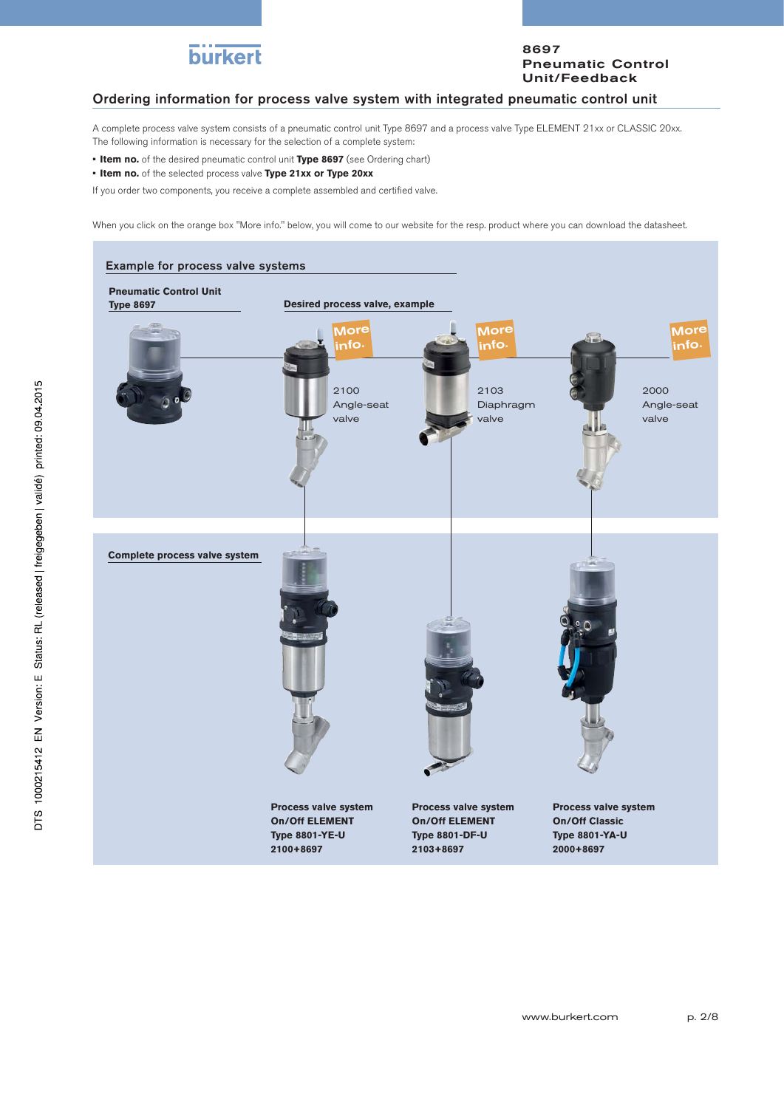

### Ordering information for process valve system with integrated pneumatic control unit

A complete process valve system consists of a pneumatic control unit Type 8697 and a process valve Type ELEMENT 21xx or CLASSIC 20xx. The following information is necessary for the selection of a complete system:

- **Item no.** of the desired pneumatic control unit **Type 8697** (see Ordering chart)
- **Item no.** of the selected process valve **Type 21xx or Type 20xx**

If you order two components, you receive a complete assembled and certified valve.

When you click on the orange box "More info." below, you will come to our website for the resp. product where you can download the datasheet.

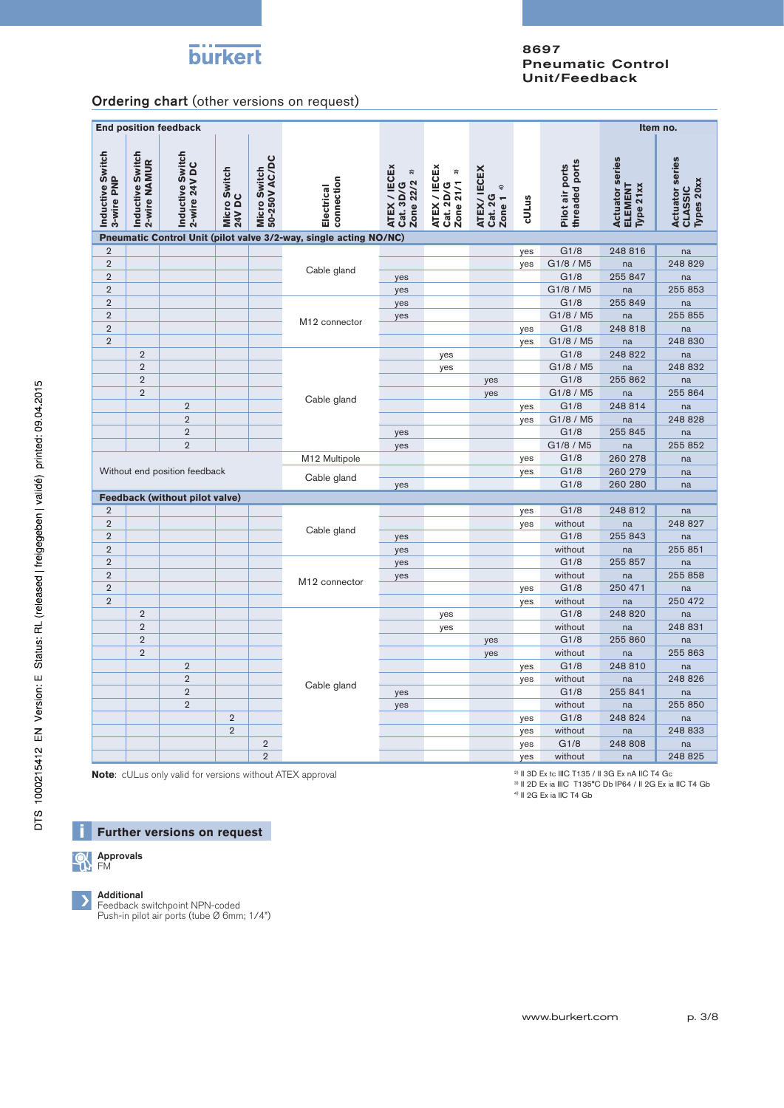# **burkert**

### 8697 Pneumatic Control Unit/Feedback

Ordering chart (other versions on request)

| <b>End position feedback</b>                                      |                                  |                                   |                        |                                       |                           |                                                      |                                             |                                             |       |                                   | Item no.                                       |                                                        |
|-------------------------------------------------------------------|----------------------------------|-----------------------------------|------------------------|---------------------------------------|---------------------------|------------------------------------------------------|---------------------------------------------|---------------------------------------------|-------|-----------------------------------|------------------------------------------------|--------------------------------------------------------|
| Inductive Switch<br>3-wire PNP                                    | Inductive Switch<br>2-wire NAMUR | Inductive Switch<br>2-wire 24V DC | Micro Switch<br>24V DC | <b>Micro Switch<br/>50-250V AC/DC</b> | connection<br>Electrical  | ATEX / IECEx<br>Zone 22/2 <sup>2)</sup><br>Cat. 3D/G | ATEX / IECEx<br>ಣ<br>Zone 21/1<br>Cat. 2D/G | ATEX/ IECEX<br>Zone 1 $4$<br><b>Cat. 2G</b> | cULus | threaded ports<br>Pilot air ports | <b>Actuator series</b><br>Type 21xx<br>ELEMENT | <b>Actuator series</b><br>Types 20xx<br><b>CLASSIC</b> |
| Pneumatic Control Unit (pilot valve 3/2-way, single acting NO/NC) |                                  |                                   |                        |                                       |                           |                                                      |                                             |                                             |       |                                   |                                                |                                                        |
| $\overline{2}$                                                    |                                  |                                   |                        |                                       |                           |                                                      |                                             |                                             | yes   | G1/8                              | 248 816                                        | na                                                     |
| $\overline{2}$                                                    |                                  |                                   |                        |                                       | Cable gland               |                                                      |                                             |                                             | yes   | G1/8 / M5                         | na                                             | 248 829                                                |
| $\overline{2}$                                                    |                                  |                                   |                        |                                       |                           | yes                                                  |                                             |                                             |       | G1/8                              | 255 847                                        | na                                                     |
| $\overline{2}$                                                    |                                  |                                   |                        |                                       |                           | yes                                                  |                                             |                                             |       | G1/8 / M5                         | na                                             | 255 853                                                |
| $\overline{2}$                                                    |                                  |                                   |                        |                                       |                           | yes                                                  |                                             |                                             |       | G1/8                              | 255 849                                        | na                                                     |
| $\overline{2}$                                                    |                                  |                                   |                        |                                       | M <sub>12</sub> connector | yes                                                  |                                             |                                             |       | G1/8 / M5                         | na                                             | 255 855                                                |
| $\overline{2}$                                                    |                                  |                                   |                        |                                       |                           |                                                      |                                             |                                             | yes   | G1/8                              | 248 818                                        | na                                                     |
| $\overline{2}$                                                    |                                  |                                   |                        |                                       |                           |                                                      |                                             |                                             | yes   | G1/8 / M5                         | na                                             | 248 830                                                |
|                                                                   | $\overline{2}$                   |                                   |                        |                                       |                           |                                                      | yes                                         |                                             |       | G1/8                              | 248 822                                        | na                                                     |
|                                                                   | $\overline{2}$                   |                                   |                        |                                       |                           |                                                      | yes                                         |                                             |       | G1/8 / M5                         | na                                             | 248 832                                                |
|                                                                   | $\overline{2}$                   |                                   |                        |                                       |                           |                                                      |                                             | yes                                         |       | G1/8                              | 255 862                                        | na                                                     |
|                                                                   | $\overline{2}$                   |                                   |                        |                                       | Cable gland               |                                                      |                                             | yes                                         |       | G1/8 / M5                         | na                                             | 255 864                                                |
|                                                                   |                                  | $\overline{2}$                    |                        |                                       |                           |                                                      |                                             |                                             | yes   | G1/8                              | 248 814                                        | na                                                     |
|                                                                   |                                  | $\overline{2}$                    |                        |                                       |                           |                                                      |                                             |                                             | yes   | G1/8 / M5                         | na                                             | 248 828                                                |
|                                                                   |                                  | $\overline{2}$                    |                        |                                       |                           | yes                                                  |                                             |                                             |       | G1/8                              | 255 845                                        | na                                                     |
|                                                                   |                                  | $\overline{2}$                    |                        |                                       |                           | yes                                                  |                                             |                                             |       | G1/8 / M5                         | na                                             | 255 852                                                |
|                                                                   |                                  |                                   |                        |                                       | M12 Multipole             |                                                      |                                             |                                             | yes   | G1/8                              | 260 278                                        | na                                                     |
|                                                                   |                                  | Without end position feedback     |                        |                                       | Cable gland               |                                                      |                                             |                                             | yes   | G1/8                              | 260 279                                        | na                                                     |
|                                                                   |                                  |                                   |                        |                                       |                           | yes                                                  |                                             |                                             |       | G1/8                              | 260 280                                        | na                                                     |
|                                                                   |                                  | Feedback (without pilot valve)    |                        |                                       |                           |                                                      |                                             |                                             |       |                                   |                                                |                                                        |
| $\overline{2}$                                                    |                                  |                                   |                        |                                       |                           |                                                      |                                             |                                             | yes   | G1/8                              | 248 812                                        | na                                                     |
| $\overline{2}$                                                    |                                  |                                   |                        |                                       | Cable gland               |                                                      |                                             |                                             | yes   | without                           | na                                             | 248 827                                                |
| $\overline{2}$                                                    |                                  |                                   |                        |                                       |                           | yes                                                  |                                             |                                             |       | G1/8                              | 255 843                                        | na                                                     |
| $\overline{2}$                                                    |                                  |                                   |                        |                                       |                           | yes                                                  |                                             |                                             |       | without                           | na                                             | 255 851                                                |
| $\overline{2}$                                                    |                                  |                                   |                        |                                       |                           | yes                                                  |                                             |                                             |       | G1/8                              | 255 857                                        | na                                                     |
| $\overline{2}$                                                    |                                  |                                   |                        |                                       | M12 connector             | yes                                                  |                                             |                                             |       | without                           | na                                             | 255 858                                                |
| $\overline{2}$                                                    |                                  |                                   |                        |                                       |                           |                                                      |                                             |                                             | yes   | G1/8                              | 250 471                                        | na                                                     |
| $\overline{2}$                                                    |                                  |                                   |                        |                                       |                           |                                                      |                                             |                                             | yes   | without                           | na                                             | 250 472                                                |
|                                                                   | $\overline{2}$                   |                                   |                        |                                       |                           |                                                      | yes                                         |                                             |       | G1/8                              | 248 820                                        | na                                                     |
|                                                                   | $\overline{2}$                   |                                   |                        |                                       |                           |                                                      | yes                                         |                                             |       | without                           | na                                             | 248 831                                                |
|                                                                   | $\overline{2}$                   |                                   |                        |                                       |                           |                                                      |                                             | yes                                         |       | G1/8                              | 255 860                                        | na                                                     |
|                                                                   | $\overline{2}$                   |                                   |                        |                                       |                           |                                                      |                                             | yes                                         |       | without                           | na                                             | 255 863                                                |
|                                                                   |                                  | $\overline{2}$                    |                        |                                       |                           |                                                      |                                             |                                             | yes   | G1/8                              | 248 810                                        | na                                                     |
|                                                                   |                                  | $\overline{2}$                    |                        |                                       | Cable gland               |                                                      |                                             |                                             | yes   | without                           | na                                             | 248 826                                                |
|                                                                   |                                  | $\overline{2}$                    |                        |                                       |                           | yes                                                  |                                             |                                             |       | G1/8                              | 255 841                                        | na                                                     |
|                                                                   |                                  | $\overline{2}$                    |                        |                                       |                           | yes                                                  |                                             |                                             |       | without                           | na                                             | 255 850                                                |
|                                                                   |                                  |                                   | $\sqrt{2}$             |                                       |                           |                                                      |                                             |                                             | yes   | G1/8                              | 248 824                                        | na                                                     |
|                                                                   |                                  |                                   | $\overline{2}$         |                                       |                           |                                                      |                                             |                                             | yes   | without                           | na                                             | 248 833                                                |
|                                                                   |                                  |                                   |                        | $\overline{2}$                        |                           |                                                      |                                             |                                             | yes   | G1/8                              | 248 808                                        | na                                                     |
|                                                                   |                                  |                                   |                        | $\overline{2}$                        |                           |                                                      |                                             |                                             | yes   | without                           | na                                             | 248 825                                                |
|                                                                   |                                  |                                   |                        |                                       |                           |                                                      |                                             |                                             |       |                                   |                                                |                                                        |

**Note**: cULus only valid for versions without ATEX approval

 $2)$  II 3D Ex tc IIIC T135 / II 3G Ex nA IIC T4 Gc

3) II 2D Ex ia IIIC T135°C Db IP64 / II 2G Ex ia IIC T4 Gb

4) II 2G Ex ia IIC T4 Gb





### Additional

Feedback switchpoint NPN-coded Push-in pilot air ports (tube Ø 6mm; 1/4")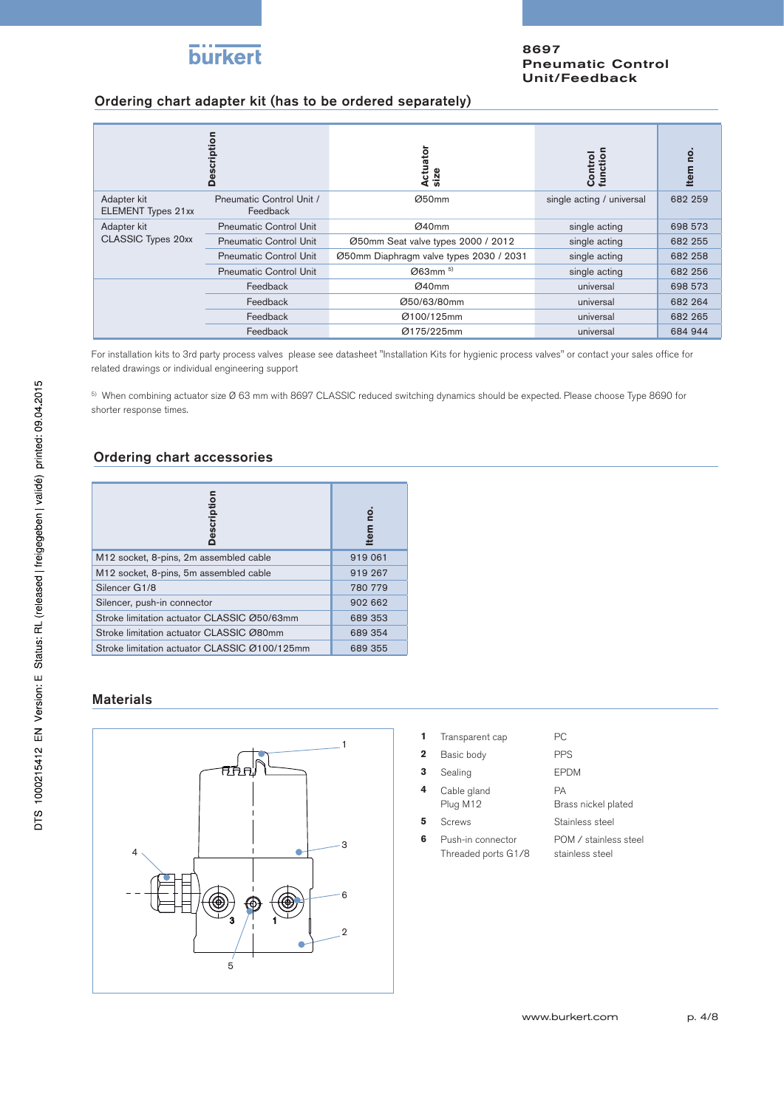

### Ordering chart adapter kit (has to be ordered separately)

|                                          | ption<br>Ŏ                           | Actuator<br>size                        | Control<br>function       | ē       |
|------------------------------------------|--------------------------------------|-----------------------------------------|---------------------------|---------|
| Adapter kit<br><b>ELEMENT Types 21xx</b> | Pneumatic Control Unit /<br>Feedback | Ø50mm                                   | single acting / universal | 682 259 |
| Adapter kit                              | <b>Pneumatic Control Unit</b>        | Ø40mm                                   | single acting             | 698 573 |
| <b>CLASSIC Types 20xx</b>                | <b>Pneumatic Control Unit</b>        | Ø50mm Seat valve types 2000 / 2012      | single acting             | 682 255 |
|                                          | <b>Pneumatic Control Unit</b>        | Ø50mm Diaphragm valve types 2030 / 2031 | single acting             | 682 258 |
|                                          | <b>Pneumatic Control Unit</b>        | $\emptyset$ 63mm $^{5)}$                | single acting             | 682 256 |
|                                          | Feedback                             | Ø40mm                                   | universal                 | 698 573 |
|                                          | Feedback                             | Ø50/63/80mm                             | universal                 | 682 264 |
|                                          | Feedback                             | Ø100/125mm                              | universal                 | 682 265 |
|                                          | Feedback                             | Ø175/225mm                              | universal                 | 684 944 |

For installation kits to 3rd party process valves please see datasheet "Installation Kits for hygienic process valves" or contact your sales office for related drawings or individual engineering support

<sup>5)</sup> When combining actuator size Ø 63 mm with 8697 CLASSIC reduced switching dynamics should be expected. Please choose Type 8690 for shorter response times.

### Ordering chart accessories

| escription                                    | tem     |
|-----------------------------------------------|---------|
| M12 socket, 8-pins, 2m assembled cable        | 919 061 |
| M12 socket, 8-pins, 5m assembled cable        | 919 267 |
| Silencer G1/8                                 | 780 779 |
| Silencer, push-in connector                   | 902 662 |
| Stroke limitation actuator CLASSIC Ø50/63mm   | 689 353 |
| Stroke limitation actuator CLASSIC Ø80mm      | 689 354 |
| Stroke limitation actuator CLASSIC Ø100/125mm | 689 355 |

### Materials



| Transparent cap | PC. |
|-----------------|-----|
|                 |     |

| 2 | Basic body              | <b>PPS</b>                |
|---|-------------------------|---------------------------|
| 3 | Sealing                 | <b>EPDM</b>               |
| 4 | Cable gland<br>Plug M12 | PА<br>Brass nickel plated |
| 5 | <b>Screws</b>           | Stainless steel           |

**6** Push-in connector Threaded ports G1/8 POM / stainless steel stainless steel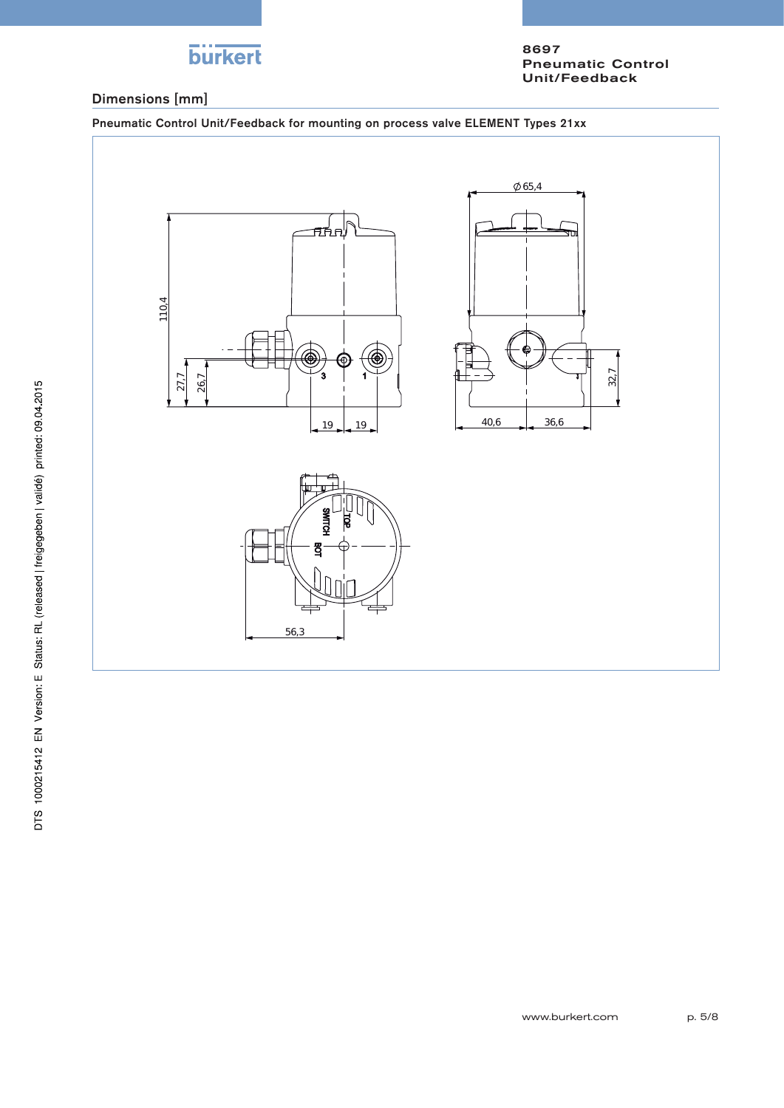

### Dimensions [mm]

Pneumatic Control Unit/Feedback for mounting on process valve ELEMENT Types 21xx

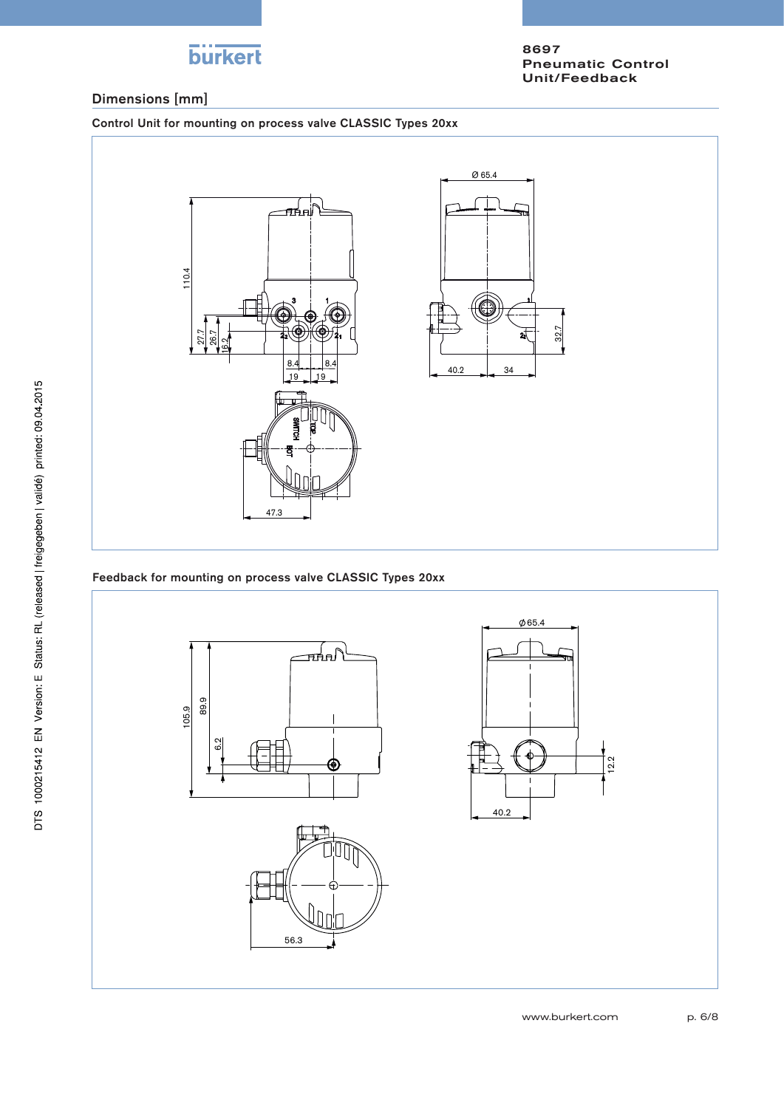

### Dimensions [mm]

Control Unit for mounting on process valve CLASSIC Types 20xx



### Feedback for mounting on process valve CLASSIC Types 20xx

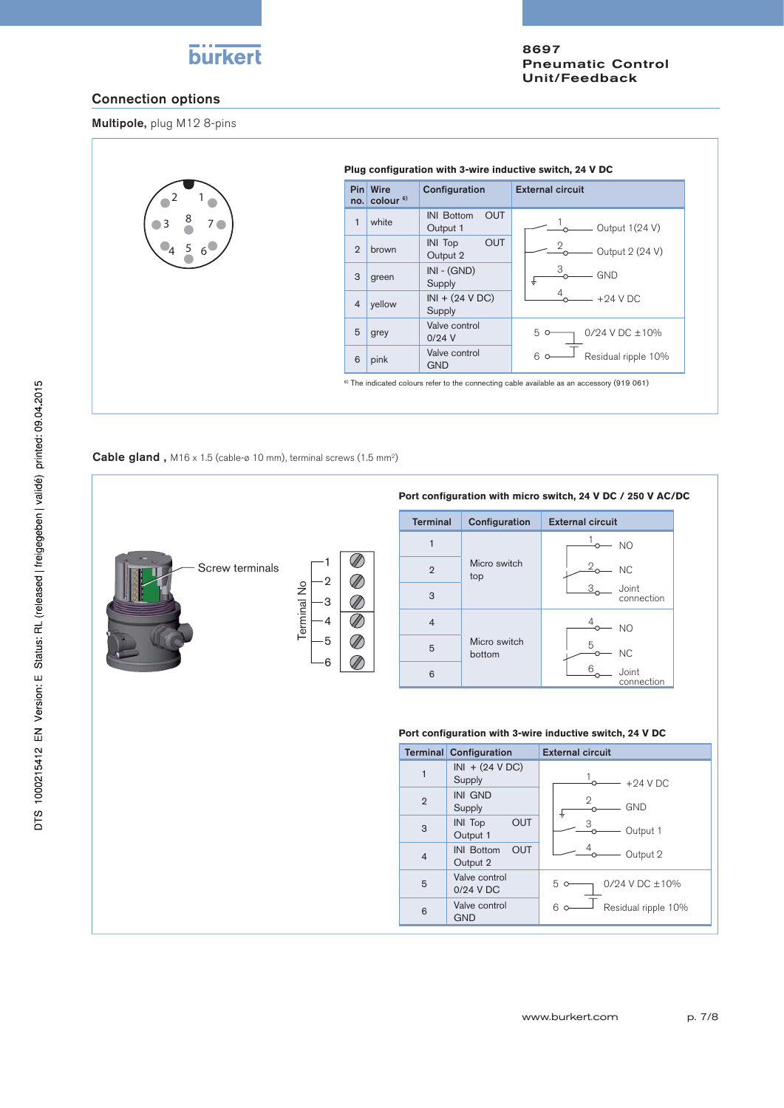# burkert

8697 Pneumatic Control Unit/Feedback

### Connection options

Multipole, plug M12 8-pins



#### **Cable gland**,  $M16 \times 1.5$  (cable-ø 10 mm), terminal screws (1.5 mm<sup>2</sup>)